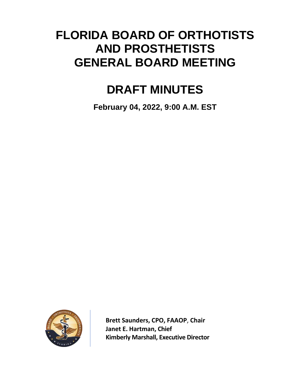# **FLORIDA BOARD OF ORTHOTISTS AND PROSTHETISTS GENERAL BOARD MEETING**

# **DRAFT MINUTES**

**February 04, 2022, 9:00 A.M. EST**



**Brett Saunders, CPO, FAAOP**, **Chair Janet E. Hartman, Chief Kimberly Marshall, Executive Director**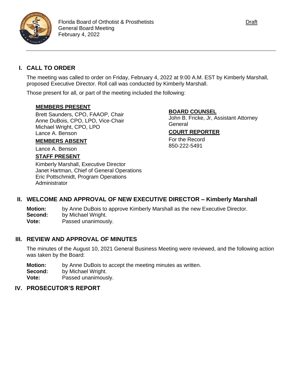

# **I. CALL TO ORDER**

The meeting was called to order on Friday, February 4, 2022 at 9:00 A.M. EST by Kimberly Marshall, proposed Executive Director. Roll call was conducted by Kimberly Marshall.

Those present for all, or part of the meeting included the following:

## **MEMBERS PRESENT**

Brett Saunders, CPO, FAAOP, Chair Anne DuBois, CPO, LPO, Vice-Chair Michael Wright, CPO, LPO Lance A. Benson

## **MEMBERS ABSENT**

Lance A. Benson

## **STAFF PRESENT**

Kimberly Marshall, Executive Director Janet Hartman, Chief of General Operations Eric Pottschmidt, Program Operations Administrator

## **BOARD COUNSEL**

John B. Fricke, Jr, Assistant Attorney General

## **COURT REPORTER**

For the Record 850-222-5491

# **II. WELCOME AND APPROVAL OF NEW EXECUTIVE DIRECTOR – Kimberly Marshall**

**Motion:** by Anne DuBois to approve Kimberly Marshall as the new Executive Director. **Second:** by Michael Wright. **Vote:** Passed unanimously.

# **III. REVIEW AND APPROVAL OF MINUTES**

The minutes of the August 10, 2021 General Business Meeting were reviewed, and the following action was taken by the Board:

**Motion:** by Anne DuBois to accept the meeting minutes as written.

**Second:** by Michael Wright.

**Vote:** Passed unanimously.

#### **IV. PROSECUTOR'S REPORT**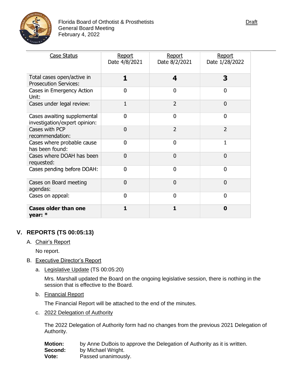

| <b>Case Status</b>                                           | Report<br>Date 4/8/2021 | Report<br>Date 8/2/2021 | Report<br>Date 1/28/2022 |
|--------------------------------------------------------------|-------------------------|-------------------------|--------------------------|
| Total cases open/active in<br><b>Prosecution Services:</b>   | 1                       | 4                       | 3                        |
| Cases in Emergency Action<br>Unit:                           | 0                       | 0                       | 0                        |
| Cases under legal review:                                    | 1                       | $\overline{2}$          | $\mathbf{0}$             |
| Cases awaiting supplemental<br>investigation/expert opinion: | 0                       | 0                       | $\mathbf 0$              |
| Cases with PCP<br>recommendation:                            | $\mathbf{0}$            | $\overline{2}$          | $\overline{2}$           |
| Cases where probable cause<br>has been found:                | 0                       | 0                       | 1                        |
| Cases where DOAH has been<br>requested:                      | 0                       | 0                       | $\mathbf{0}$             |
| Cases pending before DOAH:                                   | 0                       | 0                       | $\mathbf 0$              |
| Cases on Board meeting<br>agendas:                           | $\mathbf 0$             | $\mathbf 0$             | $\mathbf{0}$             |
| Cases on appeal:                                             | 0                       | 0                       | 0                        |
| <b>Cases older than one</b><br>vear: $*$                     |                         |                         | 0                        |

# **V. REPORTS (TS 00:05:13)**

A. Chair's Report

No report.

- B. Executive Director's Report
	- a. Legislative Update (TS 00:05:20)

Mrs. Marshall updated the Board on the ongoing legislative session, there is nothing in the session that is effective to the Board.

b. Financial Report

The Financial Report will be attached to the end of the minutes.

c. 2022 Delegation of Authority

The 2022 Delegation of Authority form had no changes from the previous 2021 Delegation of Authority.

| Motion: | by Anne DuBois to approve the Delegation of Authority as it is written. |
|---------|-------------------------------------------------------------------------|
| Second: | by Michael Wright.                                                      |
| Vote:   | Passed unanimously.                                                     |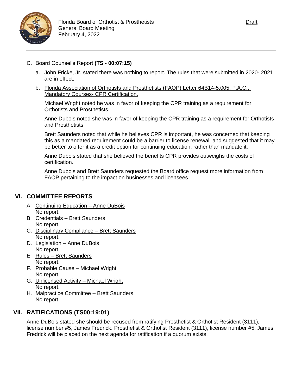

## C. Board Counsel's Report **(TS - 00:07:15)**

- a. John Fricke, Jr. stated there was nothing to report. The rules that were submitted in 2020- 2021 are in effect.
- b. Florida Association of Orthotists and Prosthetists (FAOP) Letter 64B14-5.005, F.A.C., Mandatory Courses- CPR Certification.

Michael Wright noted he was in favor of keeping the CPR training as a requirement for Orthotists and Prosthetists.

Anne Dubois noted she was in favor of keeping the CPR training as a requirement for Orthotists and Prosthetists.

Brett Saunders noted that while he believes CPR is important, he was concerned that keeping this as a mandated requirement could be a barrier to license renewal, and suggested that it may be better to offer it as a credit option for continuing education, rather than mandate it.

Anne Dubois stated that she believed the benefits CPR provides outweighs the costs of certification.

Anne Dubois and Brett Saunders requested the Board office request more information from FAOP pertaining to the impact on businesses and licensees.

# **VI. COMMITTEE REPORTS**

- A. Continuing Education Anne DuBois No report.
- B. Credentials Brett Saunders No report.
- C. Disciplinary Compliance Brett Saunders No report.
- D. Legislation Anne DuBois No report.
- E. Rules Brett Saunders No report.
- F. Probable Cause Michael Wright No report.
- G. Unlicensed Activity Michael Wright No report.
- H. Malpractice Committee Brett Saunders No report.

# **VII. RATIFICATIONS (TS00:19:01)**

Anne DuBois stated she should be recused from ratifying Prosthetist & Orthotist Resident (3111), license number #5, James Fredrick. Prosthetist & Orthotist Resident (3111), license number #5, James Fredrick will be placed on the next agenda for ratification if a quorum exists.